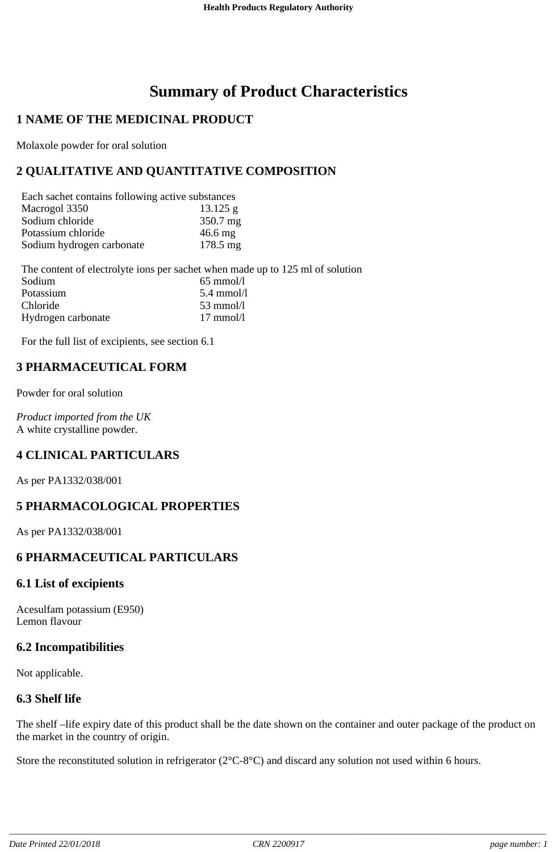# **Summary of Product Characteristics**

## **1 NAME OF THE MEDICINAL PRODUCT**

Molaxole powder for oral solution

# **2 QUALITATIVE AND QUANTITATIVE COMPOSITION**

| Each sachet contains following active substances |                   |
|--------------------------------------------------|-------------------|
| Macrogol 3350                                    | $13.125$ g        |
| Sodium chloride                                  | 350.7 mg          |
| Potassium chloride                               | $46.6 \text{ mg}$ |
| Sodium hydrogen carbonate                        | 178.5 mg          |

The content of electrolyte ions per sachet when made up to 125 ml of solution<br>Sodium 65 mmol/l  $65$  mmol/l Potassium 5.4 mmol/l Chloride 53 mmol/l<br>Hydrogen carbonate 53 mmol/l Hydrogen carbonate

For the full list of excipients, see section 6.1

## **3 PHARMACEUTICAL FORM**

Powder for oral solution

*Product imported from the UK* A white crystalline powder.

## **4 CLINICAL PARTICULARS**

As per PA1332/038/001

## **5 PHARMACOLOGICAL PROPERTIES**

As per PA1332/038/001

## **6 PHARMACEUTICAL PARTICULARS**

#### **6.1 List of excipients**

Acesulfam potassium (E950) Lemon flavour

#### **6.2 Incompatibilities**

Not applicable.

#### **6.3 Shelf life**

The shelf –life expiry date of this product shall be the date shown on the container and outer package of the product on the market in the country of origin.

Store the reconstituted solution in refrigerator (2°C-8°C) and discard any solution not used within 6 hours.